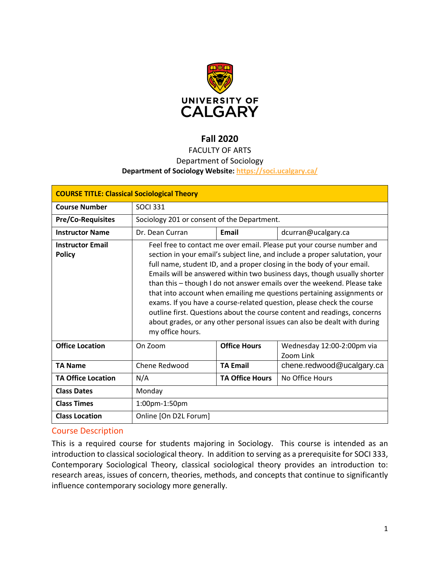

# **Fall 2020**

# FACULTY OF ARTS

## Department of Sociology

## **Department of Sociology Website:<https://soci.ucalgary.ca/>**

| <b>COURSE TITLE: Classical Sociological Theory</b> |                                                                                                                                                                                                                                                                                                                                                                                                                                                                                                                                                                                                                                                                                                                      |                        |                                         |  |  |
|----------------------------------------------------|----------------------------------------------------------------------------------------------------------------------------------------------------------------------------------------------------------------------------------------------------------------------------------------------------------------------------------------------------------------------------------------------------------------------------------------------------------------------------------------------------------------------------------------------------------------------------------------------------------------------------------------------------------------------------------------------------------------------|------------------------|-----------------------------------------|--|--|
| <b>Course Number</b>                               | <b>SOCI 331</b>                                                                                                                                                                                                                                                                                                                                                                                                                                                                                                                                                                                                                                                                                                      |                        |                                         |  |  |
| <b>Pre/Co-Requisites</b>                           | Sociology 201 or consent of the Department.                                                                                                                                                                                                                                                                                                                                                                                                                                                                                                                                                                                                                                                                          |                        |                                         |  |  |
| <b>Instructor Name</b>                             | Dr. Dean Curran                                                                                                                                                                                                                                                                                                                                                                                                                                                                                                                                                                                                                                                                                                      | Email                  | dcurran@ucalgary.ca                     |  |  |
| <b>Instructor Email</b><br><b>Policy</b>           | Feel free to contact me over email. Please put your course number and<br>section in your email's subject line, and include a proper salutation, your<br>full name, student ID, and a proper closing in the body of your email.<br>Emails will be answered within two business days, though usually shorter<br>than this - though I do not answer emails over the weekend. Please take<br>that into account when emailing me questions pertaining assignments or<br>exams. If you have a course-related question, please check the course<br>outline first. Questions about the course content and readings, concerns<br>about grades, or any other personal issues can also be dealt with during<br>my office hours. |                        |                                         |  |  |
| <b>Office Location</b>                             | On Zoom                                                                                                                                                                                                                                                                                                                                                                                                                                                                                                                                                                                                                                                                                                              | <b>Office Hours</b>    | Wednesday 12:00-2:00pm via<br>Zoom Link |  |  |
| <b>TA Name</b>                                     | Chene Redwood                                                                                                                                                                                                                                                                                                                                                                                                                                                                                                                                                                                                                                                                                                        | <b>TA Email</b>        | chene.redwood@ucalgary.ca               |  |  |
| <b>TA Office Location</b>                          | N/A                                                                                                                                                                                                                                                                                                                                                                                                                                                                                                                                                                                                                                                                                                                  | <b>TA Office Hours</b> | No Office Hours                         |  |  |
| <b>Class Dates</b>                                 | Monday                                                                                                                                                                                                                                                                                                                                                                                                                                                                                                                                                                                                                                                                                                               |                        |                                         |  |  |
| <b>Class Times</b>                                 | 1:00pm-1:50pm                                                                                                                                                                                                                                                                                                                                                                                                                                                                                                                                                                                                                                                                                                        |                        |                                         |  |  |
| <b>Class Location</b>                              | Online [On D2L Forum]                                                                                                                                                                                                                                                                                                                                                                                                                                                                                                                                                                                                                                                                                                |                        |                                         |  |  |

## Course Description

This is a required course for students majoring in Sociology. This course is intended as an introduction to classical sociological theory. In addition to serving as a prerequisite for SOCI 333, Contemporary Sociological Theory, classical sociological theory provides an introduction to: research areas, issues of concern, theories, methods, and concepts that continue to significantly influence contemporary sociology more generally.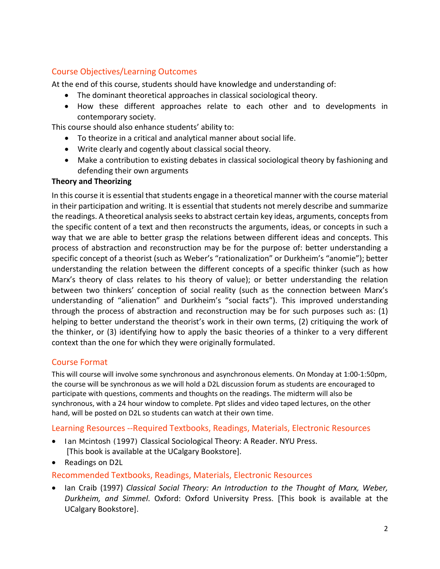# Course Objectives/Learning Outcomes

At the end of this course, students should have knowledge and understanding of:

- The dominant theoretical approaches in classical sociological theory.
- How these different approaches relate to each other and to developments in contemporary society.

This course should also enhance students' ability to:

- To theorize in a critical and analytical manner about social life.
- Write clearly and cogently about classical social theory.
- Make a contribution to existing debates in classical sociological theory by fashioning and defending their own arguments

## **Theory and Theorizing**

In this course it is essential that students engage in a theoretical manner with the course material in their participation and writing. It is essential that students not merely describe and summarize the readings. A theoretical analysis seeks to abstract certain key ideas, arguments, concepts from the specific content of a text and then reconstructs the arguments, ideas, or concepts in such a way that we are able to better grasp the relations between different ideas and concepts. This process of abstraction and reconstruction may be for the purpose of: better understanding a specific concept of a theorist (such as Weber's "rationalization" or Durkheim's "anomie"); better understanding the relation between the different concepts of a specific thinker (such as how Marx's theory of class relates to his theory of value); or better understanding the relation between two thinkers' conception of social reality (such as the connection between Marx's understanding of "alienation" and Durkheim's "social facts"). This improved understanding through the process of abstraction and reconstruction may be for such purposes such as: (1) helping to better understand the theorist's work in their own terms, (2) critiquing the work of the thinker, or (3) identifying how to apply the basic theories of a thinker to a very different context than the one for which they were originally formulated.

## Course Format

This will course will involve some synchronous and asynchronous elements. On Monday at 1:00-1:50pm, the course will be synchronous as we will hold a D2L discussion forum as students are encouraged to participate with questions, comments and thoughts on the readings. The midterm will also be synchronous, with a 24 hour window to complete. Ppt slides and video taped lectures, on the other hand, will be posted on D2L so students can watch at their own time.

## Learning Resources --Required Textbooks, Readings, Materials, Electronic Resources

- Ian Mcintosh (1997) Classical Sociological Theory: A Reader. NYU Press. [This book is available at the UCalgary Bookstore].
- Readings on D2L

## Recommended Textbooks, Readings, Materials, Electronic Resources

• Ian Craib (1997) *Classical Social Theory: An Introduction to the Thought of Marx, Weber, Durkheim, and Simmel*. Oxford: Oxford University Press. [This book is available at the UCalgary Bookstore].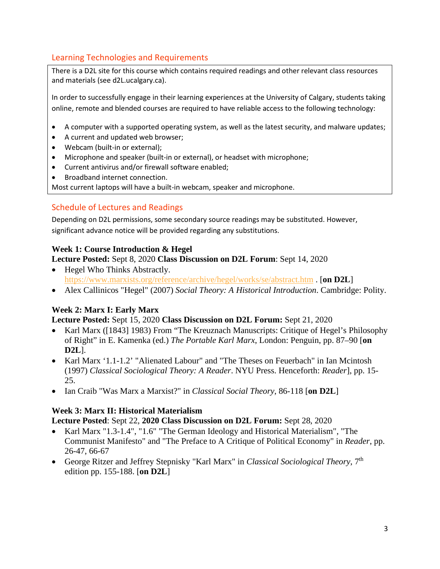# Learning Technologies and Requirements

There is a D2L site for this course which contains required readings and other relevant class resources and materials (see d2L.ucalgary.ca).

In order to successfully engage in their learning experiences at the University of Calgary, students taking online, remote and blended courses are required to have reliable access to the following technology:

- A computer with a supported operating system, as well as the latest security, and malware updates;
- A current and updated web browser;
- Webcam (built-in or external);
- Microphone and speaker (built-in or external), or headset with microphone;
- Current antivirus and/or firewall software enabled;
- Broadband internet connection.

Most current laptops will have a built-in webcam, speaker and microphone.

# Schedule of Lectures and Readings

Depending on D2L permissions, some secondary source readings may be substituted. However, significant advance notice will be provided regarding any substitutions.

# **Week 1: Course Introduction & Hegel**

- **Lecture Posted:** Sept 8, 2020 **Class Discussion on D2L Forum**: Sept 14, 2020
- Hegel Who Thinks Abstractly. <https://www.marxists.org/reference/archive/hegel/works/se/abstract.htm> . [**on D2L**]
- Alex Callinicos "Hegel" (2007) *Social Theory: A Historical Introduction*. Cambridge: Polity.

# **Week 2: Marx I: Early Marx**

**Lecture Posted:** Sept 15, 2020 **Class Discussion on D2L Forum:** Sept 21, 2020

- Karl Marx ([1843] 1983) From "The Kreuznach Manuscripts: Critique of Hegel's Philosophy of Right" in E. Kamenka (ed.) *The Portable Karl Marx*, London: Penguin, pp. 87–90 [**on D2L**].
- Karl Marx '1.1-1.2' "Alienated Labour" and "The Theses on Feuerbach" in Ian Mcintosh (1997) *Classical Sociological Theory: A Reader*. NYU Press. Henceforth: *Reader*], pp. 15- 25.
- Ian Craib "Was Marx a Marxist?" in *Classical Social Theory*, 86-118 [**on D2L**]

# **Week 3: Marx II: Historical Materialism**

**Lecture Posted**: Sept 22, **2020 Class Discussion on D2L Forum:** Sept 28, 2020

- Karl Marx "1.3-1.4", "1.6" "The German Ideology and Historical Materialism", "The Communist Manifesto" and "The Preface to A Critique of Political Economy" in *Reader*, pp. 26-47, 66-67
- George Ritzer and Jeffrey Stepnisky "Karl Marx" in *Classical Sociological Theory*, 7<sup>th</sup> edition pp. 155-188. [**on D2L**]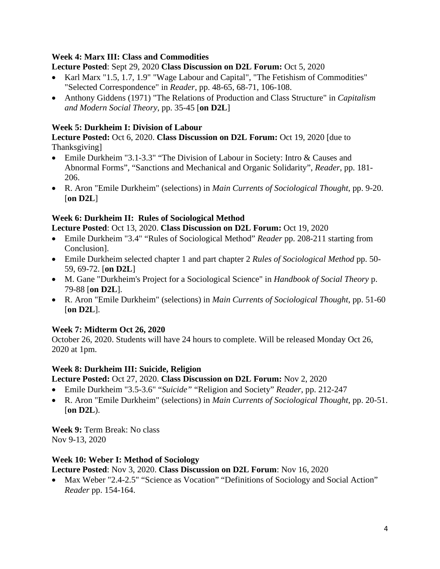## **Week 4: Marx III: Class and Commodities**

**Lecture Posted**: Sept 29, 2020 **Class Discussion on D2L Forum:** Oct 5, 2020

- Karl Marx "1.5, 1.7, 1.9" "Wage Labour and Capital", "The Fetishism of Commodities" "Selected Correspondence" in *Reader*, pp. 48-65, 68-71, 106-108.
- Anthony Giddens (1971) "The Relations of Production and Class Structure" in *Capitalism and Modern Social Theory*, pp. 35-45 [**on D2L**]

# **Week 5: Durkheim I: Division of Labour**

**Lecture Posted:** Oct 6, 2020. **Class Discussion on D2L Forum:** Oct 19, 2020 [due to Thanksgiving]

- Emile Durkheim "3.1-3.3" "The Division of Labour in Society: Intro & Causes and Abnormal Forms", "Sanctions and Mechanical and Organic Solidarity", *Reader*, pp. 181- 206.
- R. Aron "Emile Durkheim" (selections) in *Main Currents of Sociological Thought*, pp. 9-20. [**on D2L**]

# **Week 6: Durkheim II: Rules of Sociological Method**

**Lecture Posted**: Oct 13, 2020. **Class Discussion on D2L Forum:** Oct 19, 2020

- Emile Durkheim "3.4" "Rules of Sociological Method" *Reader* pp. 208-211 starting from Conclusion].
- Emile Durkheim selected chapter 1 and part chapter 2 *Rules of Sociological Method* pp. 50- 59, 69-72. [**on D2L**]
- M. Gane "Durkheim's Project for a Sociological Science" in *Handbook of Social Theory* p. 79-88 [**on D2L**].
- R. Aron "Emile Durkheim" (selections) in *Main Currents of Sociological Thought*, pp. 51-60 [**on D2L**].

# **Week 7: Midterm Oct 26, 2020**

October 26, 2020. Students will have 24 hours to complete. Will be released Monday Oct 26, 2020 at 1pm.

# **Week 8: Durkheim III: Suicide, Religion**

**Lecture Posted:** Oct 27, 2020. **Class Discussion on D2L Forum:** Nov 2, 2020

- Emile Durkheim "3.5-3.6" "*Suicide"* "Religion and Society" *Reader*, pp. 212-247
- R. Aron "Emile Durkheim" (selections) in *Main Currents of Sociological Thought*, pp. 20-51. [**on D2L**).

**Week 9:** Term Break: No class Nov 9-13, 2020

# **Week 10: Weber I: Method of Sociology**

**Lecture Posted**: Nov 3, 2020. **Class Discussion on D2L Forum**: Nov 16, 2020

Max Weber "2.4-2.5" "Science as Vocation" "Definitions of Sociology and Social Action" *Reader* pp. 154-164.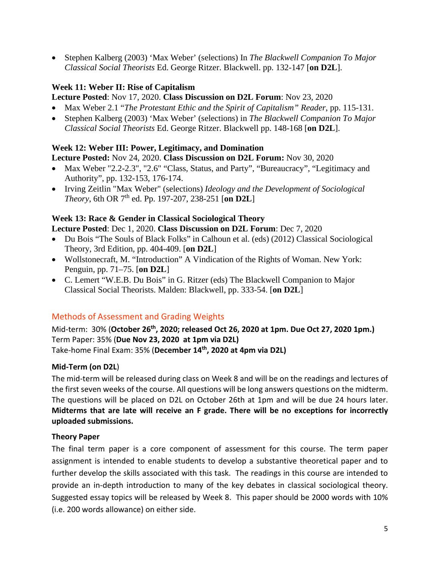• Stephen Kalberg (2003) 'Max Weber' (selections) In *The Blackwell Companion To Major Classical Social Theorists* Ed. George Ritzer. Blackwell. pp. 132-147 [**on D2L**].

# **Week 11: Weber II: Rise of Capitalism**

## **Lecture Posted**: Nov 17, 2020. **Class Discussion on D2L Forum**: Nov 23, 2020

- Max Weber 2.1 "*The Protestant Ethic and the Spirit of Capitalism" Reader*, pp. 115-131.
- Stephen Kalberg (2003) 'Max Weber' (selections) in *The Blackwell Companion To Major Classical Social Theorists* Ed. George Ritzer. Blackwell pp. 148-168 [**on D2L**].

## **Week 12: Weber III: Power, Legitimacy, and Domination**

**Lecture Posted:** Nov 24, 2020. **Class Discussion on D2L Forum:** Nov 30, 2020

- Max Weber "2.2-2.3", "2.6" "Class, Status, and Party", "Bureaucracy", "Legitimacy and Authority", pp. 132-153, 176-174.
- Irving Zeitlin "Max Weber" (selections) *Ideology and the Development of Sociological Theory*, 6th OR 7th ed. Pp. 197-207, 238-251 [**on D2L**]

## **Week 13: Race & Gender in Classical Sociological Theory**

**Lecture Posted**: Dec 1, 2020. **Class Discussion on D2L Forum**: Dec 7, 2020

- Du Bois "The Souls of Black Folks" in Calhoun et al. (eds) (2012) Classical Sociological Theory, 3rd Edition, pp. 404-409. [**on D2L**]
- Wollstonecraft, M. "Introduction" A Vindication of the Rights of Woman. New York: Penguin, pp. 71–75. [**on D2L**]
- C. Lemert "W.E.B. Du Bois" in G. Ritzer (eds) The Blackwell Companion to Major Classical Social Theorists. Malden: Blackwell, pp. 333-54. [**on D2L**]

## Methods of Assessment and Grading Weights

Mid-term: 30% (**October 26th, 2020; released Oct 26, 2020 at 1pm. Due Oct 27, 2020 1pm.)** Term Paper: 35% (**Due Nov 23, 2020 at 1pm via D2L)** Take-home Final Exam: 35% (**December 14th, 2020 at 4pm via D2L)**

## **Mid-Term (on D2L**)

The mid-term will be released during class on Week 8 and will be on the readings and lectures of the first seven weeks of the course. All questions will be long answers questions on the midterm. The questions will be placed on D2L on October 26th at 1pm and will be due 24 hours later. **Midterms that are late will receive an F grade. There will be no exceptions for incorrectly uploaded submissions.**

## **Theory Paper**

The final term paper is a core component of assessment for this course. The term paper assignment is intended to enable students to develop a substantive theoretical paper and to further develop the skills associated with this task. The readings in this course are intended to provide an in-depth introduction to many of the key debates in classical sociological theory. Suggested essay topics will be released by Week 8. This paper should be 2000 words with 10% (i.e. 200 words allowance) on either side.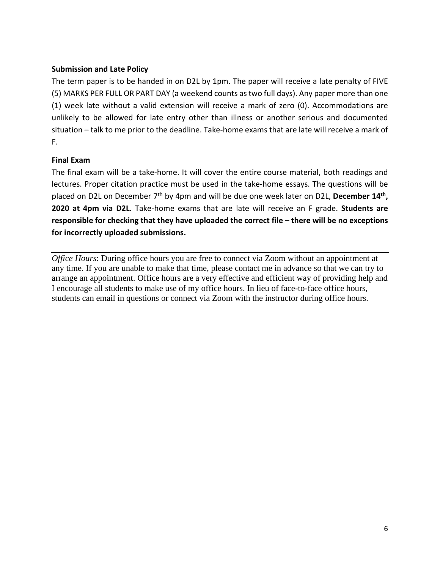## **Submission and Late Policy**

The term paper is to be handed in on D2L by 1pm. The paper will receive a late penalty of FIVE (5) MARKS PER FULL OR PART DAY (a weekend counts as two full days). Any paper more than one (1) week late without a valid extension will receive a mark of zero (0). Accommodations are unlikely to be allowed for late entry other than illness or another serious and documented situation – talk to me prior to the deadline. Take-home exams that are late will receive a mark of F.

## **Final Exam**

The final exam will be a take-home. It will cover the entire course material, both readings and lectures. Proper citation practice must be used in the take-home essays. The questions will be placed on D2L on December 7th by 4pm and will be due one week later on D2L, **December 14th, 2020 at 4pm via D2L**. Take-home exams that are late will receive an F grade. **Students are responsible for checking that they have uploaded the correct file – there will be no exceptions for incorrectly uploaded submissions.**

*Office Hours*: During office hours you are free to connect via Zoom without an appointment at any time. If you are unable to make that time, please contact me in advance so that we can try to arrange an appointment. Office hours are a very effective and efficient way of providing help and I encourage all students to make use of my office hours. In lieu of face-to-face office hours, students can email in questions or connect via Zoom with the instructor during office hours.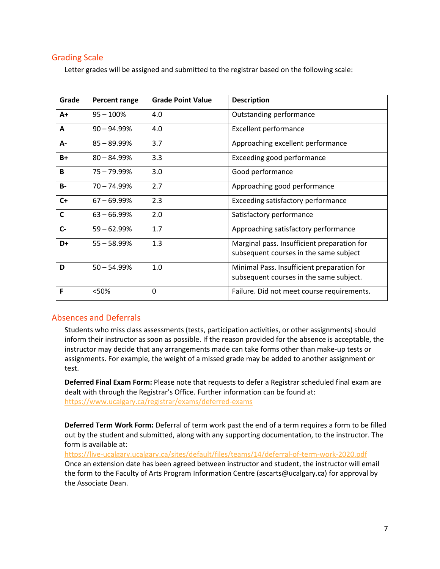## Grading Scale

Letter grades will be assigned and submitted to the registrar based on the following scale:

| Grade        | Percent range  | <b>Grade Point Value</b> | <b>Description</b>                                                                    |
|--------------|----------------|--------------------------|---------------------------------------------------------------------------------------|
| $A+$         | $95 - 100%$    | 4.0                      | Outstanding performance                                                               |
| A            | $90 - 94.99%$  | 4.0                      | <b>Excellent performance</b>                                                          |
| А-           | $85 - 89.99%$  | 3.7                      | Approaching excellent performance                                                     |
| $B+$         | $80 - 84.99%$  | 3.3                      | Exceeding good performance                                                            |
| B            | 75 - 79.99%    | 3.0                      | Good performance                                                                      |
| <b>B-</b>    | $70 - 74.99%$  | 2.7                      | Approaching good performance                                                          |
| $C+$         | $67 - 69.99\%$ | 2.3                      | Exceeding satisfactory performance                                                    |
| $\mathsf{C}$ | $63 - 66.99\%$ | 2.0                      | Satisfactory performance                                                              |
| $C -$        | $59 - 62.99%$  | 1.7                      | Approaching satisfactory performance                                                  |
| D+           | $55 - 58.99%$  | 1.3                      | Marginal pass. Insufficient preparation for<br>subsequent courses in the same subject |
| D            | $50 - 54.99%$  | 1.0                      | Minimal Pass. Insufficient preparation for<br>subsequent courses in the same subject. |
| F            | <50%           | 0                        | Failure. Did not meet course requirements.                                            |

## Absences and Deferrals

Students who miss class assessments (tests, participation activities, or other assignments) should inform their instructor as soon as possible. If the reason provided for the absence is acceptable, the instructor may decide that any arrangements made can take forms other than make-up tests or assignments. For example, the weight of a missed grade may be added to another assignment or test.

**Deferred Final Exam Form:** Please note that requests to defer a Registrar scheduled final exam are dealt with through the Registrar's Office. Further information can be found at: <https://www.ucalgary.ca/registrar/exams/deferred-exams>

**Deferred Term Work Form:** Deferral of term work past the end of a term requires a form to be filled out by the student and submitted, along with any supporting documentation, to the instructor. The form is available at:

<https://live-ucalgary.ucalgary.ca/sites/default/files/teams/14/deferral-of-term-work-2020.pdf> Once an extension date has been agreed between instructor and student, the instructor will email the form to the Faculty of Arts Program Information Centre (ascarts@ucalgary.ca) for approval by the Associate Dean.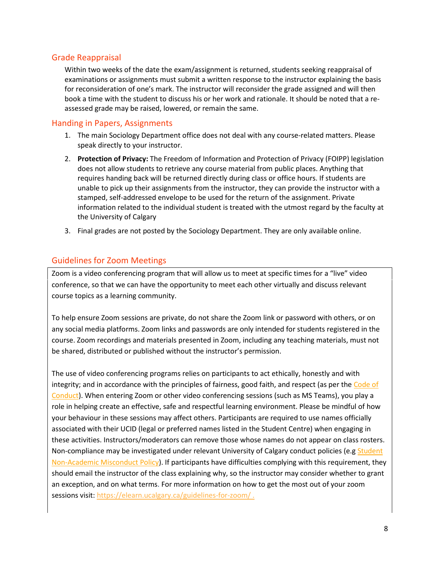## Grade Reappraisal

Within two weeks of the date the exam/assignment is returned, students seeking reappraisal of examinations or assignments must submit a written response to the instructor explaining the basis for reconsideration of one's mark. The instructor will reconsider the grade assigned and will then book a time with the student to discuss his or her work and rationale. It should be noted that a reassessed grade may be raised, lowered, or remain the same.

## Handing in Papers, Assignments

- 1. The main Sociology Department office does not deal with any course-related matters. Please speak directly to your instructor.
- 2. **Protection of Privacy:** The Freedom of Information and Protection of Privacy (FOIPP) legislation does not allow students to retrieve any course material from public places. Anything that requires handing back will be returned directly during class or office hours. If students are unable to pick up their assignments from the instructor, they can provide the instructor with a stamped, self-addressed envelope to be used for the return of the assignment. Private information related to the individual student is treated with the utmost regard by the faculty at the University of Calgary
- 3. Final grades are not posted by the Sociology Department. They are only available online.

## Guidelines for Zoom Meetings

Zoom is a video conferencing program that will allow us to meet at specific times for a "live" video conference, so that we can have the opportunity to meet each other virtually and discuss relevant course topics as a learning community.

To help ensure Zoom sessions are private, do not share the Zoom link or password with others, or on any social media platforms. Zoom links and passwords are only intended for students registered in the course. Zoom recordings and materials presented in Zoom, including any teaching materials, must not be shared, distributed or published without the instructor's permission.

The use of video conferencing programs relies on participants to act ethically, honestly and with integrity; and in accordance with the principles of fairness, good faith, and respect (as per the [Code of](https://www.ucalgary.ca/policies/files/policies/code-of-conduct.pdf)  [Conduct\)](https://www.ucalgary.ca/policies/files/policies/code-of-conduct.pdf). When entering Zoom or other video conferencing sessions (such as MS Teams), you play a role in helping create an effective, safe and respectful learning environment. Please be mindful of how your behaviour in these sessions may affect others. Participants are required to use names officially associated with their UCID (legal or preferred names listed in the Student Centre) when engaging in these activities. Instructors/moderators can remove those whose names do not appear on class rosters. Non-compliance may be investigated under relevant University of Calgary conduct policies (e.g Student [Non-Academic Misconduct Policy\)](https://ucalgary.ca/policies/files/policies/non-academic-misconduct-policy.pdf). If participants have difficulties complying with this requirement, they should email the instructor of the class explaining why, so the instructor may consider whether to grant an exception, and on what terms. For more information on how to get the most out of your zoom sessions visit[: https://elearn.ucalgary.ca/guidelines-for-zoom/](https://elearn.ucalgary.ca/guidelines-for-zoom/) .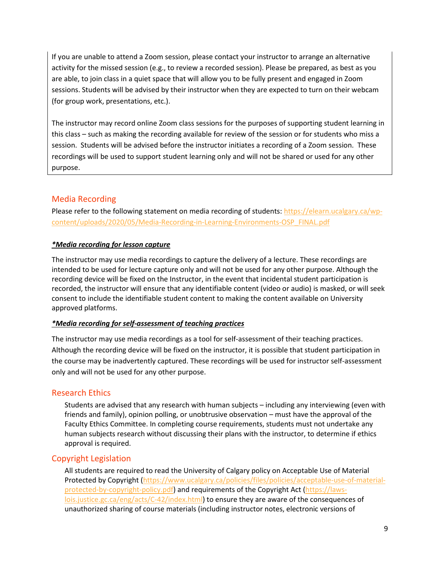If you are unable to attend a Zoom session, please contact your instructor to arrange an alternative activity for the missed session (e.g., to review a recorded session). Please be prepared, as best as you are able, to join class in a quiet space that will allow you to be fully present and engaged in Zoom sessions. Students will be advised by their instructor when they are expected to turn on their webcam (for group work, presentations, etc.).

The instructor may record online Zoom class sessions for the purposes of supporting student learning in this class – such as making the recording available for review of the session or for students who miss a session. Students will be advised before the instructor initiates a recording of a Zoom session. These recordings will be used to support student learning only and will not be shared or used for any other purpose.

## Media Recording

Please refer to the following statement on media recording of students: [https://elearn.ucalgary.ca/wp](https://elearn.ucalgary.ca/wp-content/uploads/2020/05/Media-Recording-in-Learning-Environments-OSP_FINAL.pdf)[content/uploads/2020/05/Media-Recording-in-Learning-Environments-OSP\\_FINAL.pdf](https://elearn.ucalgary.ca/wp-content/uploads/2020/05/Media-Recording-in-Learning-Environments-OSP_FINAL.pdf)

## *\*Media recording for lesson capture*

The instructor may use media recordings to capture the delivery of a lecture. These recordings are intended to be used for lecture capture only and will not be used for any other purpose. Although the recording device will be fixed on the Instructor, in the event that incidental student participation is recorded, the instructor will ensure that any identifiable content (video or audio) is masked, or will seek consent to include the identifiable student content to making the content available on University approved platforms.

## *\*Media recording for self-assessment of teaching practices*

The instructor may use media recordings as a tool for self-assessment of their teaching practices. Although the recording device will be fixed on the instructor, it is possible that student participation in the course may be inadvertently captured. These recordings will be used for instructor self-assessment only and will not be used for any other purpose.

## Research Ethics

Students are advised that any research with human subjects – including any interviewing (even with friends and family), opinion polling, or unobtrusive observation – must have the approval of the Faculty Ethics Committee. In completing course requirements, students must not undertake any human subjects research without discussing their plans with the instructor, to determine if ethics approval is required.

## Copyright Legislation

All students are required to read the University of Calgary policy on Acceptable Use of Material Protected by Copyright [\(https://www.ucalgary.ca/policies/files/policies/acceptable-use-of-material](https://www.ucalgary.ca/policies/files/policies/acceptable-use-of-material-protected-by-copyright-policy.pdf)[protected-by-copyright-policy.pdf\)](https://www.ucalgary.ca/policies/files/policies/acceptable-use-of-material-protected-by-copyright-policy.pdf) and requirements of the Copyright Act [\(https://laws](https://laws-lois.justice.gc.ca/eng/acts/C-42/index.html)[lois.justice.gc.ca/eng/acts/C-42/index.html\)](https://laws-lois.justice.gc.ca/eng/acts/C-42/index.html) to ensure they are aware of the consequences of unauthorized sharing of course materials (including instructor notes, electronic versions of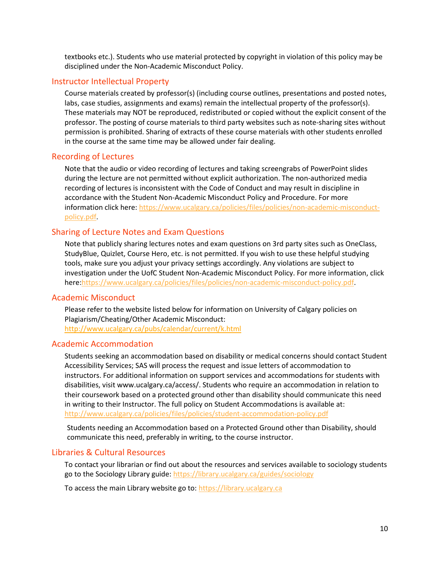textbooks etc.). Students who use material protected by copyright in violation of this policy may be disciplined under the Non-Academic Misconduct Policy.

#### Instructor Intellectual Property

Course materials created by professor(s) (including course outlines, presentations and posted notes, labs, case studies, assignments and exams) remain the intellectual property of the professor(s). These materials may NOT be reproduced, redistributed or copied without the explicit consent of the professor. The posting of course materials to third party websites such as note-sharing sites without permission is prohibited. Sharing of extracts of these course materials with other students enrolled in the course at the same time may be allowed under fair dealing.

#### Recording of Lectures

Note that the audio or video recording of lectures and taking screengrabs of PowerPoint slides during the lecture are not permitted without explicit authorization. The non-authorized media recording of lectures is inconsistent with the Code of Conduct and may result in discipline in accordance with the Student Non-Academic Misconduct Policy and Procedure. For more information click here: [https://www.ucalgary.ca/policies/files/policies/non-academic-misconduct](https://www.ucalgary.ca/policies/files/policies/non-academic-misconduct-policy.pdf)[policy.pdf.](https://www.ucalgary.ca/policies/files/policies/non-academic-misconduct-policy.pdf)

## Sharing of Lecture Notes and Exam Questions

Note that publicly sharing lectures notes and exam questions on 3rd party sites such as OneClass, StudyBlue, Quizlet, Course Hero, etc. is not permitted. If you wish to use these helpful studying tools, make sure you adjust your privacy settings accordingly. Any violations are subject to investigation under the UofC Student Non-Academic Misconduct Policy. For more information, click here[:https://www.ucalgary.ca/policies/files/policies/non-academic-misconduct-policy.pdf.](https://www.ucalgary.ca/policies/files/policies/non-academic-misconduct-policy.pdf)

#### Academic Misconduct

Please refer to the website listed below for information on University of Calgary policies on Plagiarism/Cheating/Other Academic Misconduct: <http://www.ucalgary.ca/pubs/calendar/current/k.html>

#### Academic Accommodation

Students seeking an accommodation based on disability or medical concerns should contact Student Accessibility Services; SAS will process the request and issue letters of accommodation to instructors. For additional information on support services and accommodations for students with disabilities, visit www.ucalgary.ca/access/. Students who require an accommodation in relation to their coursework based on a protected ground other than disability should communicate this need in writing to their Instructor. The full policy on Student Accommodations is available at: <http://www.ucalgary.ca/policies/files/policies/student-accommodation-policy.pdf>

Students needing an Accommodation based on a Protected Ground other than Disability, should communicate this need, preferably in writing, to the course instructor.

#### Libraries & Cultural Resources

To contact your librarian or find out about the resources and services available to sociology students go to the Sociology Library guide:<https://library.ucalgary.ca/guides/sociology>

To access the main Library website go to: [https://library.ucalgary.ca](https://library.ucalgary.ca/)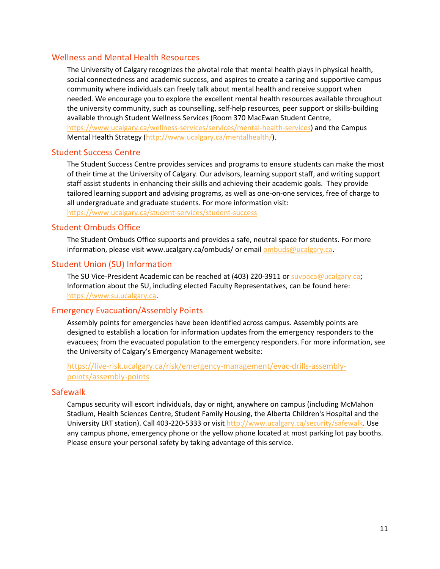#### Wellness and Mental Health Resources

The University of Calgary recognizes the pivotal role that mental health plays in physical health, social connectedness and academic success, and aspires to create a caring and supportive campus community where individuals can freely talk about mental health and receive support when needed. We encourage you to explore the excellent mental health resources available throughout the university community, such as counselling, self-help resources, peer support or skills-building available through Student Wellness Services (Room 370 MacEwan Student Centre, [https://www.ucalgary.ca/wellness-services/services/mental-health-services\)](https://www.ucalgary.ca/wellness-services/services/mental-health-services) and the Campus Mental Health Strategy [\(http://www.ucalgary.ca/mentalhealth/\)](http://www.ucalgary.ca/mentalhealth/).

#### Student Success Centre

The Student Success Centre provides services and programs to ensure students can make the most of their time at the University of Calgary. Our advisors, learning support staff, and writing support staff assist students in enhancing their skills and achieving their academic goals. They provide tailored learning support and advising programs, as well as one-on-one services, free of charge to all undergraduate and graduate students. For more information visit:

<https://www.ucalgary.ca/student-services/student-success>

#### Student Ombuds Office

The Student Ombuds Office supports and provides a safe, neutral space for students. For more information, please visit www.ucalgary.ca/ombuds/ or emai[l ombuds@ucalgary.ca.](file://trifs1.uc.ucalgary.ca/SOCI/Admin/07_Course%20Outlines/ombuds@ucalgary.ca)

## Student Union (SU) Information

The SU Vice-President Academic can be reached at (403) 220-3911 or [suvpaca@ucalgary.ca;](file://trifs1.uc.ucalgary.ca/SOCI/Admin/07_Course%20Outlines/suvpaca@ucalgary.ca) Information about the SU, including elected Faculty Representatives, can be found here: [https://www.su.ucalgary.ca.](https://www.su.ucalgary.ca/)

#### Emergency Evacuation/Assembly Points

Assembly points for emergencies have been identified across campus. Assembly points are designed to establish a location for information updates from the emergency responders to the evacuees; from the evacuated population to the emergency responders. For more information, see the University of Calgary's Emergency Management website:

## [https://live-risk.ucalgary.ca/risk/emergency-management/evac-drills-assembly](https://live-risk.ucalgary.ca/risk/emergency-management/evac-drills-assembly-points/assembly-points)[points/assembly-points](https://live-risk.ucalgary.ca/risk/emergency-management/evac-drills-assembly-points/assembly-points)

#### **Safewalk**

Campus security will escort individuals, day or night, anywhere on campus (including McMahon Stadium, Health Sciences Centre, Student Family Housing, the Alberta Children's Hospital and the University LRT station). Call 403-220-5333 or visit [http://www.ucalgary.ca/security/safewalk.](http://www.ucalgary.ca/security/safewalk) Use any campus phone, emergency phone or the yellow phone located at most parking lot pay booths. Please ensure your personal safety by taking advantage of this service.